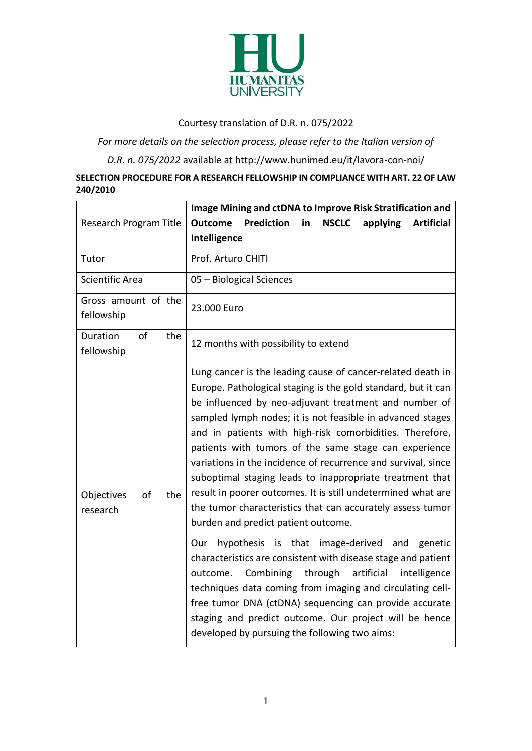

## Courtesy translation of D.R. n. 075/2022

*For more details on the selection process, please refer to the Italian version of* 

*D.R. n. 075/2022* available at http://www.hunimed.eu/it/lavora-con-noi/

## **SELECTION PROCEDURE FOR A RESEARCH FELLOWSHIP IN COMPLIANCE WITH ART. 22 OF LAW 240/2010**

|                                     | Image Mining and ctDNA to Improve Risk Stratification and                                                                                                                                                                                                                                                                                                                                                                                                                                                                                                                                                                                                                                                                                                                                                                                                                                                                                                                                                                                                                                                 |
|-------------------------------------|-----------------------------------------------------------------------------------------------------------------------------------------------------------------------------------------------------------------------------------------------------------------------------------------------------------------------------------------------------------------------------------------------------------------------------------------------------------------------------------------------------------------------------------------------------------------------------------------------------------------------------------------------------------------------------------------------------------------------------------------------------------------------------------------------------------------------------------------------------------------------------------------------------------------------------------------------------------------------------------------------------------------------------------------------------------------------------------------------------------|
| Research Program Title              | <b>Prediction</b><br><b>NSCLC</b><br><b>Outcome</b><br>in<br>applying<br><b>Artificial</b>                                                                                                                                                                                                                                                                                                                                                                                                                                                                                                                                                                                                                                                                                                                                                                                                                                                                                                                                                                                                                |
|                                     | Intelligence                                                                                                                                                                                                                                                                                                                                                                                                                                                                                                                                                                                                                                                                                                                                                                                                                                                                                                                                                                                                                                                                                              |
| Tutor                               | Prof. Arturo CHITI                                                                                                                                                                                                                                                                                                                                                                                                                                                                                                                                                                                                                                                                                                                                                                                                                                                                                                                                                                                                                                                                                        |
| Scientific Area                     | 05 - Biological Sciences                                                                                                                                                                                                                                                                                                                                                                                                                                                                                                                                                                                                                                                                                                                                                                                                                                                                                                                                                                                                                                                                                  |
| Gross amount of the<br>fellowship   | 23.000 Euro                                                                                                                                                                                                                                                                                                                                                                                                                                                                                                                                                                                                                                                                                                                                                                                                                                                                                                                                                                                                                                                                                               |
|                                     |                                                                                                                                                                                                                                                                                                                                                                                                                                                                                                                                                                                                                                                                                                                                                                                                                                                                                                                                                                                                                                                                                                           |
| of<br>Duration<br>the<br>fellowship | 12 months with possibility to extend                                                                                                                                                                                                                                                                                                                                                                                                                                                                                                                                                                                                                                                                                                                                                                                                                                                                                                                                                                                                                                                                      |
| Objectives<br>of<br>the<br>research | Lung cancer is the leading cause of cancer-related death in<br>Europe. Pathological staging is the gold standard, but it can<br>be influenced by neo-adjuvant treatment and number of<br>sampled lymph nodes; it is not feasible in advanced stages<br>and in patients with high-risk comorbidities. Therefore,<br>patients with tumors of the same stage can experience<br>variations in the incidence of recurrence and survival, since<br>suboptimal staging leads to inappropriate treatment that<br>result in poorer outcomes. It is still undetermined what are<br>the tumor characteristics that can accurately assess tumor<br>burden and predict patient outcome.<br>hypothesis is that image-derived and<br>Our<br>genetic<br>characteristics are consistent with disease stage and patient<br>artificial<br>Combining<br>through<br>outcome.<br>intelligence<br>techniques data coming from imaging and circulating cell-<br>free tumor DNA (ctDNA) sequencing can provide accurate<br>staging and predict outcome. Our project will be hence<br>developed by pursuing the following two aims: |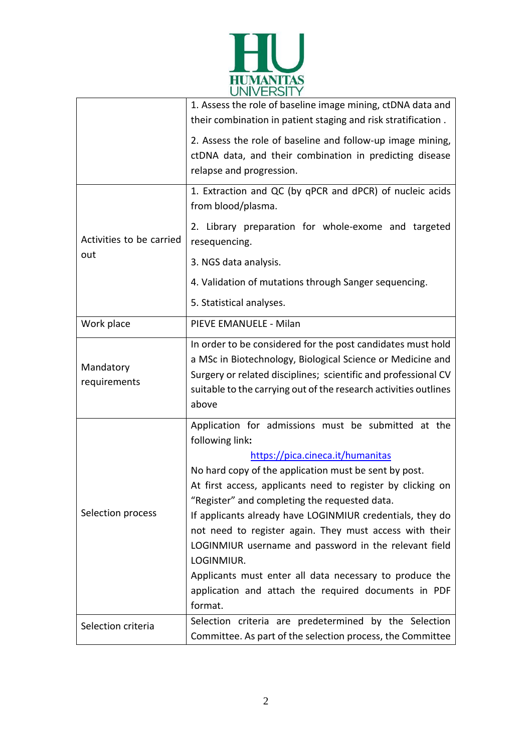

|                                 | 1. Assess the role of baseline image mining, ctDNA data and<br>their combination in patient staging and risk stratification.                                                                                                                                                                                                                                                                                                                                                                                                                                                                                     |
|---------------------------------|------------------------------------------------------------------------------------------------------------------------------------------------------------------------------------------------------------------------------------------------------------------------------------------------------------------------------------------------------------------------------------------------------------------------------------------------------------------------------------------------------------------------------------------------------------------------------------------------------------------|
|                                 | 2. Assess the role of baseline and follow-up image mining,<br>ctDNA data, and their combination in predicting disease<br>relapse and progression.                                                                                                                                                                                                                                                                                                                                                                                                                                                                |
| Activities to be carried<br>out | 1. Extraction and QC (by qPCR and dPCR) of nucleic acids<br>from blood/plasma.                                                                                                                                                                                                                                                                                                                                                                                                                                                                                                                                   |
|                                 | 2. Library preparation for whole-exome and targeted<br>resequencing.                                                                                                                                                                                                                                                                                                                                                                                                                                                                                                                                             |
|                                 | 3. NGS data analysis.                                                                                                                                                                                                                                                                                                                                                                                                                                                                                                                                                                                            |
|                                 | 4. Validation of mutations through Sanger sequencing.                                                                                                                                                                                                                                                                                                                                                                                                                                                                                                                                                            |
|                                 | 5. Statistical analyses.                                                                                                                                                                                                                                                                                                                                                                                                                                                                                                                                                                                         |
| Work place                      | PIEVE EMANUELE - Milan                                                                                                                                                                                                                                                                                                                                                                                                                                                                                                                                                                                           |
| Mandatory<br>requirements       | In order to be considered for the post candidates must hold<br>a MSc in Biotechnology, Biological Science or Medicine and<br>Surgery or related disciplines; scientific and professional CV<br>suitable to the carrying out of the research activities outlines<br>above                                                                                                                                                                                                                                                                                                                                         |
| Selection process               | Application for admissions must be submitted at the<br>following link:<br>https://pica.cineca.it/humanitas<br>No hard copy of the application must be sent by post.<br>At first access, applicants need to register by clicking on<br>"Register" and completing the requested data.<br>If applicants already have LOGINMIUR credentials, they do<br>not need to register again. They must access with their<br>LOGINMIUR username and password in the relevant field<br>LOGINMIUR.<br>Applicants must enter all data necessary to produce the<br>application and attach the required documents in PDF<br>format. |
| Selection criteria              | Selection criteria are predetermined by the Selection<br>Committee. As part of the selection process, the Committee                                                                                                                                                                                                                                                                                                                                                                                                                                                                                              |